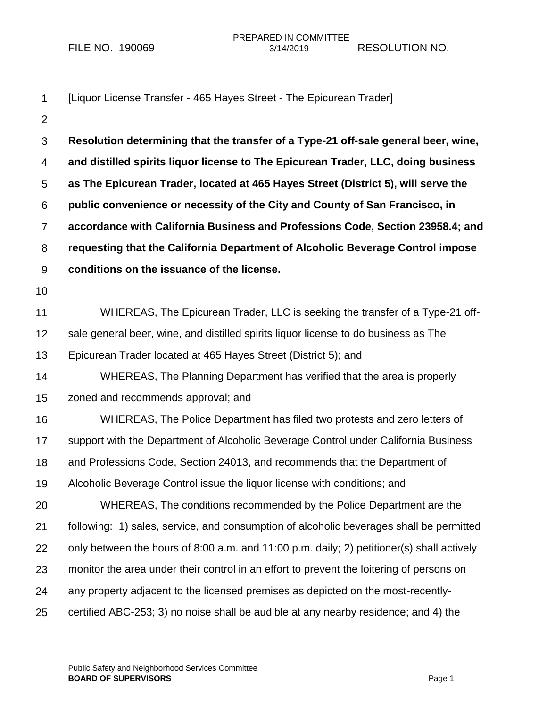| 1               | [Liquor License Transfer - 465 Hayes Street - The Epicurean Trader]                       |
|-----------------|-------------------------------------------------------------------------------------------|
| $\overline{2}$  |                                                                                           |
| $\mathfrak{S}$  | Resolution determining that the transfer of a Type-21 off-sale general beer, wine,        |
| 4               | and distilled spirits liquor license to The Epicurean Trader, LLC, doing business         |
| 5               | as The Epicurean Trader, located at 465 Hayes Street (District 5), will serve the         |
| 6               | public convenience or necessity of the City and County of San Francisco, in               |
| $\overline{7}$  | accordance with California Business and Professions Code, Section 23958.4; and            |
| 8               | requesting that the California Department of Alcoholic Beverage Control impose            |
| 9               | conditions on the issuance of the license.                                                |
| 10              |                                                                                           |
| 11              | WHEREAS, The Epicurean Trader, LLC is seeking the transfer of a Type-21 off-              |
| 12 <sub>2</sub> | sale general beer, wine, and distilled spirits liquor license to do business as The       |
| 13              | Epicurean Trader located at 465 Hayes Street (District 5); and                            |
| 14              | WHEREAS, The Planning Department has verified that the area is properly                   |
| 15              | zoned and recommends approval; and                                                        |
| 16              | WHEREAS, The Police Department has filed two protests and zero letters of                 |
| 17              | support with the Department of Alcoholic Beverage Control under California Business       |
| 18              | and Professions Code, Section 24013, and recommends that the Department of                |
| 19              | Alcoholic Beverage Control issue the liquor license with conditions; and                  |
| 20              | WHEREAS, The conditions recommended by the Police Department are the                      |
| 21              | following: 1) sales, service, and consumption of alcoholic beverages shall be permitted   |
| 22              | only between the hours of 8:00 a.m. and 11:00 p.m. daily; 2) petitioner(s) shall actively |
| 23              | monitor the area under their control in an effort to prevent the loitering of persons on  |
| 24              | any property adjacent to the licensed premises as depicted on the most-recently-          |
| 25              | certified ABC-253; 3) no noise shall be audible at any nearby residence; and 4) the       |